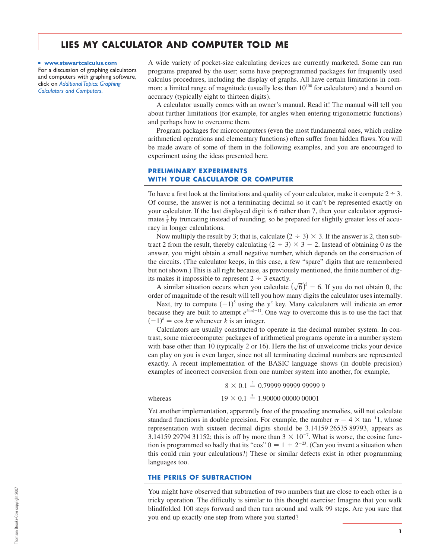# **LIES MY CALCULATOR AND COMPUTER TOLD ME**

■ **www.stewartcalculus.com** For a discussion of graphing calculators and computers with graphing software, *Calculators and Computers*. click on *Additional Topics: Graphing* 

A wide variety of pocket-size calculating devices are currently marketed. Some can run programs prepared by the user; some have preprogrammed packages for frequently used calculus procedures, including the display of graphs. All have certain limitations in common: a limited range of magnitude (usually less than  $10^{100}$  for calculators) and a bound on accuracy (typically eight to thirteen digits).

A calculator usually comes with an owner's manual. Read it! The manual will tell you about further limitations (for example, for angles when entering trigonometric functions) and perhaps how to overcome them.

Program packages for microcomputers (even the most fundamental ones, which realize arithmetical operations and elementary functions) often suffer from hidden flaws. You will be made aware of some of them in the following examples, and you are encouraged to experiment using the ideas presented here.

# **PRELIMINARY EXPERIMENTS WITH YOUR CALCULATOR OR COMPUTER**

To have a first look at the limitations and quality of your calculator, make it compute  $2 \div 3$ . Of course, the answer is not a terminating decimal so it can't be represented exactly on your calculator. If the last displayed digit is 6 rather than 7, then your calculator approximates  $\frac{2}{3}$  by truncating instead of rounding, so be prepared for slightly greater loss of accuracy in longer calculations.

Now multiply the result by 3; that is, calculate  $(2 \div 3) \times 3$ . If the answer is 2, then subtract 2 from the result, thereby calculating  $(2 \div 3) \times 3 - 2$ . Instead of obtaining 0 as the answer, you might obtain a small negative number, which depends on the construction of the circuits. (The calculator keeps, in this case, a few "spare" digits that are remembered but not shown.) This is all right because, as previously mentioned, the finite number of digits makes it impossible to represent  $2 \div 3$  exactly.

A similar situation occurs when you calculate  $(\sqrt{6})^2$  – 6. If you do not obtain 0, the order of magnitude of the result will tell you how many digits the calculator uses internally.

Next, try to compute  $(-1)^5$  using the  $y^x$  key. Many calculators will indicate an error because they are built to attempt  $e^{5 \ln(-1)}$ . One way to overcome this is to use the fact that  $(-1)^k$  = cos  $k\pi$  whenever k is an integer.

Calculators are usually constructed to operate in the decimal number system. In contrast, some microcomputer packages of arithmetical programs operate in a number system with base other than 10 (typically 2 or 16). Here the list of unwelcome tricks your device can play on you is even larger, since not all terminating decimal numbers are represented exactly. A recent implementation of the BASIC language shows (in double precision) examples of incorrect conversion from one number system into another, for example,

8 0.1 ? 0.79999 99999 99999 9

whereas

 $19 \times 0.1 \stackrel{?}{=} 1.90000\ 00000\ 00001$ 

Yet another implementation, apparently free of the preceding anomalies, will not calculate standard functions in double precision. For example, the number  $\pi = 4 \times \tan^{-1}1$ , whose representation with sixteen decimal digits should be 3.14159 26535 89793, appears as 3.14159 29794 31152; this is off by more than  $3 \times 10^{-7}$ . What is worse, the cosine function is programmed so badly that its "cos"  $0 = 1 + 2^{-23}$ . (Can you invent a situation when this could ruin your calculations?) These or similar defects exist in other programming languages too.

## **THE PERILS OF SUBTRACTION**

You might have observed that subtraction of two numbers that are close to each other is a tricky operation. The difficulty is similar to this thought exercise: Imagine that you walk blindfolded 100 steps forward and then turn around and walk 99 steps. Are you sure that you end up exactly one step from where you started?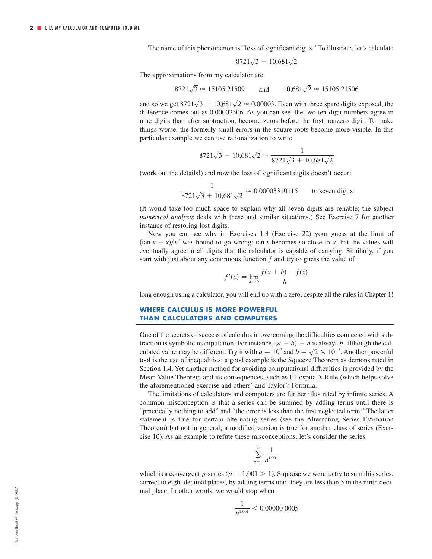The name of this phenomenon is "loss of significant digits." To illustrate, let's calculate

$$
8721\sqrt{3} - 10,681\sqrt{2}
$$

The approximations from my calculator are

$$
8721\sqrt{3} \approx 15105.21509
$$
 and  $10,681\sqrt{2} \approx 15105.21506$ 

and so we get  $8721\sqrt{3} - 10,681\sqrt{2} \approx 0.00003$ . Even with three spare digits exposed, the difference comes out as  $0.00003306$ . As you can see, the two ten-digit numbers agree in nine digits that, after subtraction, become zeros before the first nonzero digit. To make things worse, the formerly small errors in the square roots become more visible. In this particular example we can use rationalization to write

$$
8721\sqrt{3} - 10,681\sqrt{2} = \frac{1}{8721\sqrt{3} + 10,681\sqrt{2}}
$$

(work out the details!) and now the loss of significant digits doesn't occur:

$$
\frac{1}{8721\sqrt{3} + 10,681\sqrt{2}} \approx 0.00003310115
$$
 to seven digits

(It would take too much space to explain why all seven digits are reliable; the subject *numerical analysis* deals with these and similar situations.) See Exercise 7 for another instance of restoring lost digits.

Now you can see why in Exercises 1.3 (Exercise 22) your guess at the limit of  $(\tan x - x)/x^3$  was bound to go wrong:  $\tan x$  becomes so close to x that the values will eventually agree in all digits that the calculator is capable of carrying. Similarly, if you start with just about any continuous function  $f$  and try to guess the value of

$$
f'(x) = \lim_{h \to 0} \frac{f(x+h) - f(x)}{h}
$$

long enough using a calculator, you will end up with a zero, despite all the rules in Chapter 1!

# **WHERE CALCULUS IS MORE POWERFUL THAN CALCULATORS AND COMPUTERS**

One of the secrets of success of calculus in overcoming the difficulties connected with subtraction is symbolic manipulation. For instance,  $(a + b) - a$  is always b, although the calculated value may be different. Try it with  $a = 10^7$  and  $b = \sqrt{2} \times 10^{-5}$ . Another powerful tool is the use of inequalities; a good example is the Squeeze Theorem as demonstrated in Section 1.4. Yet another method for avoiding computational difficulties is provided by the Mean Value Theorem and its consequences, such as l'Hospital's Rule (which helps solve the aforementioned exercise and others) and Taylor's Formula.

The limitations of calculators and computers are further illustrated by infinite series. A common misconception is that a series can be summed by adding terms until there is "practically nothing to add" and "the error is less than the first neglected term." The latter statement is true for certain alternating series (see the Alternating Series Estimation Theorem) but not in general; a modified version is true for another class of series (Exercise 10). As an example to refute these misconceptions, let's consider the series

$$
\sum_{n=1}^{\infty} \frac{1}{n^{1.001}}
$$

which is a convergent p-series ( $p = 1.001 > 1$ ). Suppose we were to try to sum this series, correct to eight decimal places, by adding terms until they are less than 5 in the ninth decimal place. In other words, we would stop when

$$
\frac{1}{n^{1.001}} < 0.00000\ 0005
$$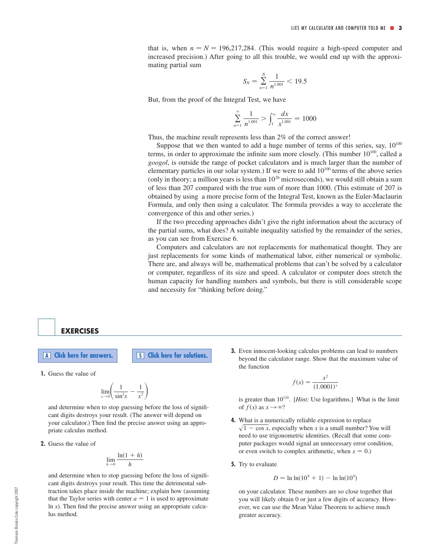that is, when  $n = N = 196,217,284$ . (This would require a high-speed computer and increased precision.) After going to all this trouble, we would end up with the approximating partial sum

$$
S_N = \sum_{n=1}^N \frac{1}{n^{1.001}} < 19.5
$$

But, from the proof of the Integral Test, we have

$$
\sum_{n=1}^{\infty} \frac{1}{n^{1.001}} > \int_{1}^{\infty} \frac{dx}{x^{1.001}} = 1000
$$

Thus, the machine result represents less than 2% of the correct answer!

Suppose that we then wanted to add a huge number of terms of this series, say,  $10^{100}$ terms, in order to approximate the infinite sum more closely. (This number  $10^{100}$ , called a *googol*, is outside the range of pocket calculators and is much larger than the number of elementary particles in our solar system.) If we were to add  $10^{100}$  terms of the above series (only in theory; a million years is less than  $10^{26}$  microseconds), we would still obtain a sum of less than 207 compared with the true sum of more than 1000. (This estimate of 207 is obtained by using a more precise form of the Integral Test, known as the Euler-Maclaurin Formula, and only then using a calculator. The formula provides a way to accelerate the convergence of this and other series.)

If the two preceding approaches didn't give the right information about the accuracy of the partial sums, what does? A suitable inequality satisfied by the remainder of the series, as you can see from Exercise 6.

Computers and calculators are not replacements for mathematical thought. They are just replacements for some kinds of mathematical labor, either numerical or symbolic. There are, and always will be, mathematical problems that can't be solved by a calculator or computer, regardless of its size and speed. A calculator or computer does stretch the human capacity for handling numbers and symbols, but there is still considerable scope and necessity for "thinking before doing."

**EXERCISES**

**A Click** here for answers. **S Click** here for solutions.

**1.** Guess the value of

$$
\lim_{x \to 0} \left( \frac{1}{\sin^2 x} - \frac{1}{x^2} \right)
$$

and determine when to stop guessing before the loss of significant digits destroys your result. (The answer will depend on your calculator.) Then find the precise answer using an appropriate calculus method.

**2.** Guess the value of

$$
\lim_{h\to 0}\frac{\ln(1+h)}{h}
$$

and determine when to stop guessing before the loss of significant digits destroys your result. This time the detrimental subtraction takes place inside the machine; explain how (assuming that the Taylor series with center  $a = 1$  is used to approximate In  $x$ ). Then find the precise answer using an appropriate calculus method.

**3.** Even innocent-looking calculus problems can lead to numbers beyond the calculator range. Show that the maximum value of the function

$$
f(x) = \frac{x^2}{(1.0001)^x}
$$

is greater than  $10^{124}$ . [*Hint:* Use logarithms.] What is the limit of  $f(x)$  as  $x \rightarrow \infty$ ?

- **4.** What is a numerically reliable expression to replace  $\sqrt{1 - \cos x}$ , especially when x is a small number? You will need to use trigonometric identities. (Recall that some computer packages would signal an unnecessary error condition, or even switch to complex arithmetic, when  $x = 0$ .)
- **5.** Try to evaluate

$$
D = \ln \ln(10^9 + 1) - \ln \ln(10^9)
$$

on your calculator. These numbers are so close together that you will likely obtain 0 or just a few digits of accuracy. However, we can use the Mean Value Theorem to achieve much greater accuracy.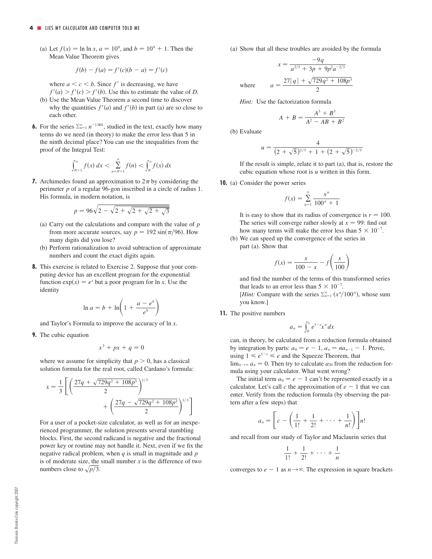(a) Let  $f(x) = \ln \ln x$ ,  $a = 10^9$ , and  $b = 10^9 + 1$ . Then the Mean Value Theorem gives

$$
f(b) - f(a) = f'(c)(b - a) = f'(c)
$$

where  $a \leq c \leq b$ . Since f' is decreasing, we have  $f'(a) > f'(c) > f'(b)$ . Use this to estimate the value of *D*.

- (b) Use the Mean Value Theorem a second time to discover why the quantities  $f'(a)$  and  $f'(b)$  in part (a) are so close to each other.
- **6.** For the series  $\sum_{n=1}^{\infty} n^{-1.001}$ , studied in the text, exactly how many terms do we need (in theory) to make the error less than 5 in proof of the Integral Test: the ninth decimal place? You can use the inequalities from the

$$
\int_{N+1}^{\infty} f(x) \, dx < \sum_{n=N+1}^{\infty} f(n) < \int_{N}^{\infty} f(x) \, dx
$$

**7.** Archimedes found an approximation to  $2\pi$  by considering the perimeter  $p$  of a regular 96-gon inscribed in a circle of radius 1. His formula, in modern notation, is

$$
p = 96\sqrt{2 - \sqrt{2 + \sqrt{2 + \sqrt{2 + \sqrt{3}}}}}
$$

- (a) Carry out the calculations and compare with the value of *p* from more accurate sources, say  $p = 192 \sin(\pi/96)$ . How many digits did you lose?
- (b) Perform rationalization to avoid subtraction of approximate numbers and count the exact digits again.
- **8.** This exercise is related to Exercise 2. Suppose that your computing device has an excellent program for the exponential function  $\exp(x) = e^x$  but a poor program for  $\ln x$ . Use the identity

$$
\ln a = b + \ln \left( 1 + \frac{a - e^b}{e^b} \right)
$$

and Taylor's Formula to improve the accuracy of ln *x*.

**9.** The cubic equation

$$
x^3 + px + q = 0
$$

where we assume for simplicity that  $p > 0$ , has a classical solution formula for the real root, called Cardano's formula:

$$
x = \frac{1}{3} \left[ \left( \frac{27q + \sqrt{729q^2 + 108p^3}}{2} \right)^{1/3} + \left( \frac{27q - \sqrt{729q^2 + 108p^3}}{2} \right)^{1/3} \right]
$$

For a user of a pocket-size calculator, as well as for an inexperienced programmer, the solution presents several stumbling blocks. First, the second radicand is negative and the fractional power key or routine may not handle it. Next, even if we fix the negative radical problem, when  $q$  is small in magnitude and  $p$ is of moderate size, the small number  $x$  is the difference of two numbers close to  $\sqrt{p/3}$ .

(a) Show that all these troubles are avoided by the formula

$$
x = \frac{-9q}{a^{2/3} + 3p + 9p^2 a^{-2/3}}
$$
  
where 
$$
a = \frac{27|q| + \sqrt{729q^2 + 108p^3}}{2}
$$

*Hint:* Use the factorization formula

$$
A + B = \frac{A^3 + B^3}{A^2 - AB + B^2}
$$

(b) Evaluate

$$
u = \frac{4}{(2+\sqrt{5})^{2/3}+1+(2+\sqrt{5})^{-2/3}}
$$

If the result is simple, relate it to part (a), that is, restore the cubic equation whose root is  $u$  written in this form.

**10.** (a) Consider the power series

$$
f(x) = \sum_{n=1}^{\infty} \frac{x^n}{100^n + 1}
$$

It is easy to show that its radius of convergence is  $r = 100$ . The series will converge rather slowly at  $x = 99$ : find out how many terms will make the error less than  $5 \times 10^{-7}$ .

(b) We can speed up the convergence of the series in part (a). Show that

$$
f(x) = \frac{x}{100 - x} - f\left(\frac{x}{100}\right)
$$

and find the number of the terms of this transformed series that leads to an error less than  $5 \times 10^{-7}$ .

[*Hint:* Compare with the series  $\sum_{n=1}^{\infty} (x^n/100^n)$ , whose sum you know.]

**11.** The positive numbers

$$
a_n=\int_0^1e^{1-x}x^n\,dx
$$

can, in theory, be calculated from a reduction formula obtained by integration by parts:  $a_0 = e - 1$ ,  $a_n = na_{n-1} - 1$ . Prove, using  $1 \leq e^{1-x} \leq e$  and the Squeeze Theorem, that

 $\lim_{n\to\infty} a_n = 0$ . Then try to calculate  $a_{20}$  from the reduction formula using your calculator. What went wrong?

The initial term  $a_0 = e - 1$  can't be represented exactly in a calculator. Let's call c the approximation of  $e - 1$  that we can enter. Verify from the reduction formula (by observing the pattern after a few steps) that

$$
a_n = \left[ c - \left( \frac{1}{1!} + \frac{1}{2!} + \cdots + \frac{1}{n!} \right) \right] n!
$$

and recall from our study of Taylor and Maclaurin series that

$$
\frac{1}{1!} + \frac{1}{2!} + \cdots + \frac{1}{n}
$$

converges to  $e - 1$  as  $n \rightarrow \infty$ . The expression in square brackets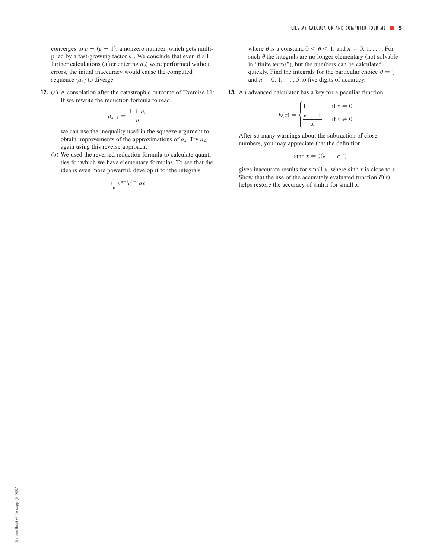converges to  $c - (e - 1)$ , a nonzero number, which gets multiplied by a fast-growing factor n!. We conclude that even if all further calculations (after entering  $a_0$ ) were performed without errors, the initial inaccuracy would cause the computed sequence  $\{a_n\}$  to diverge.

**12.** (a) A consolation after the catastrophic outcome of Exercise 11: If we rewrite the reduction formula to read

$$
a_{n-1}=\frac{1+a_n}{n}
$$

we can use the inequality used in the squeeze argument to obtain improvements of the approximations of  $a_n$ . Try  $a_{20}$ again using this reverse approach.

(b) We used the reversed reduction formula to calculate quantities for which we have elementary formulas. To see that the idea is even more powerful, develop it for the integrals

$$
\int_0^1 x^{n-\theta} e^{1-x} dx
$$

), a nonzero number, which gets multi-<br>where  $\theta$  is a constant,  $0 \le \theta \le 1$ , and  $n = 0, 1, \dots$  For such  $\theta$  the integrals are no longer elementary (not solvable in "finite terms"), but the numbers can be calculated quickly. Find the integrals for the particular choice  $\theta = \frac{1}{3}$ and  $n = 0, 1, \ldots, 5$  to five digits of accuracy.

**13.** An advanced calculator has a key for a peculiar function:

$$
E(x) = \begin{cases} 1 & \text{if } x = 0\\ \frac{e^x - 1}{x} & \text{if } x \neq 0 \end{cases}
$$

After so many warnings about the subtraction of close numbers, you may appreciate that the definition

$$
\sinh x = \frac{1}{2}(e^x - e^{-x})
$$

gives inaccurate results for small  $x$ , where sinh  $x$  is close to  $x$ . Show that the use of the accurately evaluated function  $E(x)$ helps restore the accuracy of  $sinh x$  for small  $x$ .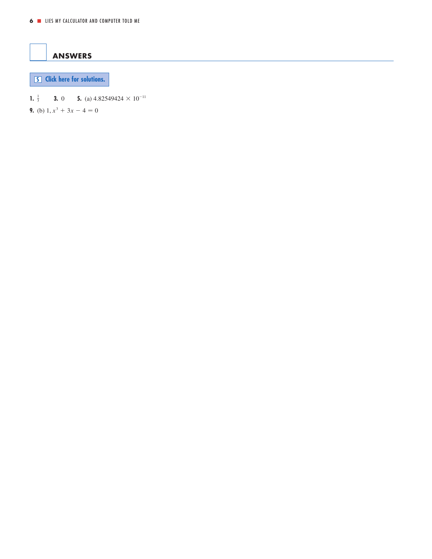<span id="page-5-0"></span>

**S [Click here for solutions.](#page-6-0)**

**1.**  $\frac{1}{3}$  **3.** 0 **5.** (a) 4.82549424  $\times$  10<sup>-11</sup>

**9.** (b)  $1, x^3 + 3x - 4 = 0$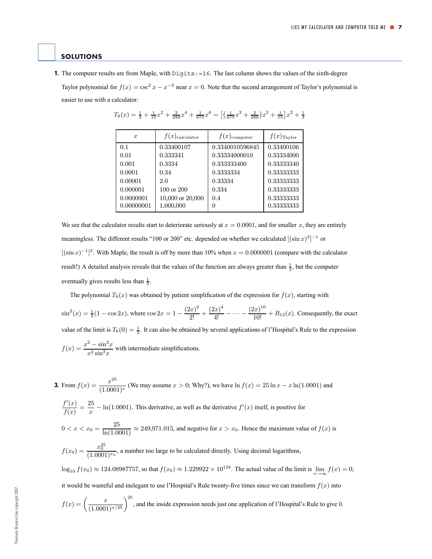#### <span id="page-6-0"></span>**SOLUTIONS**

easier to use with a calculator:

**1.** The computer results are from Maple, with Digits: =16. The last column shows the values of the sixth-degree Taylor polynomial for  $f(x) = \csc^2 x - x^{-2}$  near  $x = 0$ . Note that the second arrangement of Taylor's polynomial is

| $\boldsymbol{x}$ | $f(x)_{\text{calculator}}$ | $f(x)_{\text{computer}}$ | $f(x)$ Taylor |
|------------------|----------------------------|--------------------------|---------------|
| 0.1              | 0.33400107                 | 0.3340010596845          | 0.33400106    |
| 0.01             | 0.333341                   | 0.33334000010            | 0.33334000    |
| 0.001            | 0.3334                     | 0.333333400              | 0.33333340    |
| 0.0001           | 0.34                       | 0.3333334                | 0.33333333    |
| 0.00001          | 2.0                        | 0.33334                  | 0.33333333    |
| 0.000001         | 100 or 200                 | 0.334                    | 0.33333333    |
| 0.0000001        | 10,000 or 20,000           | 0.4                      | 0.33333333    |
| 0.00000001       | 1,000,000                  |                          | 0.33333333    |

| $T_6(x) = \frac{1}{3} + \frac{1}{15}x^2 + \frac{2}{289}x^4 + \frac{1}{675}x^6 = \left[\left(\frac{1}{675}x^2 + \frac{2}{289}\right)x^2 + \frac{1}{15}\right]x^2 + \frac{1}{3}$ |  |  |  |  |  |  |  |  |  |  |  |
|--------------------------------------------------------------------------------------------------------------------------------------------------------------------------------|--|--|--|--|--|--|--|--|--|--|--|
|--------------------------------------------------------------------------------------------------------------------------------------------------------------------------------|--|--|--|--|--|--|--|--|--|--|--|

We see that the calculator results start to deteriorate seriously at  $x = 0.0001$ , and for smaller x, they are entirely meaningless. The different results "100 or 200" etc. depended on whether we calculated  $[(\sin x)^2]^{-1}$  or  $[(\sin x)^{-1}]^2$ . With Maple, the result is off by more than 10% when  $x = 0.0000001$  (compare with the calculator result!) A detailed analysis reveals that the values of the function are always greater than  $\frac{1}{3}$ , but the computer eventually gives results less than  $\frac{1}{3}$ .

The polynomial  $T_6(x)$  was obtained by patient simplification of the expression for  $f(x)$ , starting with

 $\sin^2(x) = \frac{1}{2}(1 - \cos 2x)$ , where  $\cos 2x = 1 - \frac{(2x)^2}{2!} + \frac{(2x)^4}{4!} - \cdots - \frac{(2x)^{10}}{10!} + R_{12}(x)$ . Consequently, the exact value of the limit is  $T_6(0) = \frac{1}{3}$ . It can also be obtained by several applications of l'Hospital's Rule to the expression

$$
f(x) = \frac{x^2 - \sin^2 x}{x^2 \sin^2 x}
$$
 with intermediate simplifications.

**3.** From 
$$
f(x) = \frac{x^{25}}{(1.0001)^x}
$$
 (We may assume  $x > 0$ ; Why?), we have  $\ln f(x) = 25 \ln x - x \ln(1.0001)$  and

 $\frac{f'(x)}{f(x)} = \frac{25}{x} - \ln(1.0001)$ . This derivative, as well as the derivative  $f'(x)$  itself, is positive for

$$
0 < x < x_0 = \frac{25}{\ln(1.0001)} \approx 249,971.015
$$
, and negative for  $x > x_0$ . Hence the maximum value of  $f(x)$  is

 $f(x_0) = \frac{x_0^{25}}{(1.0001)^{x_0}}$ , a number too large to be calculated directly. Using decimal logarithms,

 $\log_{10} f(x_0) \approx 124.08987757$ , so that  $f(x_0) \approx 1.229922 \times 10^{124}$ . The actual value of the limit is  $\lim_{x \to 0^+} f(x) = 0$ ; it would be wasteful and inelegant to use l'Hospital's Rule twenty-five times since we can transform  $f(x)$  into

$$
f(x) = \left(\frac{x}{(1.0001)^{x/25}}\right)^{25}
$$
, and the inside expression needs just one application of l'Hospital's Rule to give 0.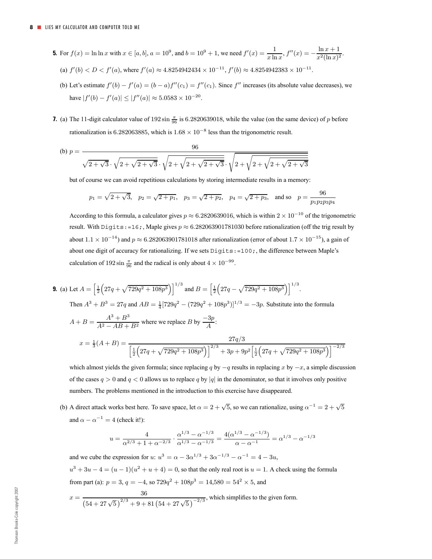- **5.** For  $f(x) = \ln \ln x$  with  $x \in [a, b]$ ,  $a = 10^9$ , and  $b = 10^9 + 1$ , we need  $f'(x) = \frac{1}{x \ln x}$ ,  $f''(x) = -\frac{\ln x + 1}{x^2(\ln x)^2}$ . (a)  $f'(b) < D < f'(a)$ , where  $f'(a) \approx 4.8254942434 \times 10^{-11}$ ,  $f'(b) \approx 4.8254942383 \times 10^{-11}$ .
	- (b) Let's estimate  $f'(b) f'(a) = (b a)f''(c_1) = f''(c_1)$ . Since  $f''$  increases (its absolute value decreases), we have  $|f'(b) - f'(a)| \le |f''(a)| \approx 5.0583 \times 10^{-20}$ .
- **7.** (a) The 11-digit calculator value of 192 sin  $\frac{\pi}{96}$  is 6.2820639018, while the value (on the same device) of p before rationalization is 6.282063885, which is  $1.68 \times 10^{-8}$  less than the trigonometric result.

(b) 
$$
p = \frac{96}{\sqrt{2 + \sqrt{3}} \cdot \sqrt{2 + \sqrt{2 + \sqrt{3}} \cdot \sqrt{2 + \sqrt{2 + \sqrt{2 + \sqrt{3}}}} \cdot \sqrt{2 + \sqrt{2 + \sqrt{2 + \sqrt{2 + \sqrt{3}}}}}}
$$

but of course we can avoid repetitious calculations by storing intermediate results in a memory:

$$
p_1 = \sqrt{2 + \sqrt{3}}, \quad p_2 = \sqrt{2 + p_1}, \quad p_3 = \sqrt{2 + p_2}, \quad p_4 = \sqrt{2 + p_3}, \quad \text{and so} \quad p = \frac{96}{p_1 p_2 p_3 p_4}
$$

According to this formula, a calculator gives  $p \approx 6.2820639016$ , which is within  $2 \times 10^{-10}$  of the trigonometric result. With Digits:=16;, Maple gives  $p \approx 6.282063901781030$  before rationalization (off the trig result by about  $1.1 \times 10^{-14}$ ) and  $p \approx 6.282063901781018$  after rationalization (error of about  $1.7 \times 10^{-15}$ ), a gain of about one digit of accuracy for rationalizing. If we sets Digits:=100;, the difference between Maple's calculation of 192 sin  $\frac{\pi}{96}$  and the radical is only about  $4 \times 10^{-99}$ .

**9.** (a) Let 
$$
A = \left[\frac{1}{2}\left(27q + \sqrt{729q^2 + 108p^3}\right)\right]^{1/3}
$$
 and  $B = \left[\frac{1}{2}\left(27q - \sqrt{729q^2 + 108p^3}\right)\right]^{1/3}$ .  
\nThen  $A^3 + B^3 = 27q$  and  $AB = \frac{1}{4}[729q^2 - (729q^2 + 108p^3)]^{1/3} = -3p$ . Substitute into the formula  
\n $A + B = \frac{A^3 + B^3}{A^2 - AB + B^2}$  where we replace B by  $\frac{-3p}{A}$ :  
\n $x = \frac{1}{3}(A + B) = \frac{27q/3}{\left[\frac{1}{2}\left(27q + \sqrt{729q^2 + 108p^3}\right)\right]^{2/3} + 3p + 9p^2\left[\frac{1}{2}\left(27q + \sqrt{729q^2 + 108p^3}\right)\right]^{-2/3}}$ 

which almost yields the given formula; since replacing q by  $-q$  results in replacing x by  $-x$ , a simple discussion of the cases  $q > 0$  and  $q < 0$  allows us to replace q by |q| in the denominator, so that it involves only positive numbers. The problems mentioned in the introduction to this exercise have disappeared.

(b) A direct attack works best here. To save space, let  $\alpha = 2 + \sqrt{5}$ , so we can rationalize, using  $\alpha^{-1} = 2 + \sqrt{5}$ and  $\alpha - \alpha^{-1} = 4$  (check it!):

$$
u = \frac{4}{\alpha^{2/3} + 1 + \alpha^{-2/3}} \cdot \frac{\alpha^{1/3} - \alpha^{-1/3}}{\alpha^{1/3} - \alpha^{-1/3}} = \frac{4(\alpha^{1/3} - \alpha^{-1/3})}{\alpha - \alpha^{-1}} = \alpha^{1/3} - \alpha^{-1/3}
$$

and we cube the expression for u:  $u^3 = \alpha - 3\alpha^{1/3} + 3\alpha^{-1/3} - \alpha^{-1} = 4 - 3u$ .

 $u^3 + 3u - 4 = (u - 1)(u^2 + u + 4) = 0$ , so that the only real root is  $u = 1$ . A check using the formula from part (a):  $p = 3$ ,  $q = -4$ , so  $729q^2 + 108p^3 = 14{,}580 = 54^2 \times 5$ , and

$$
x = \frac{36}{\left(54 + 27\sqrt{5}\right)^{2/3} + 9 + 81\left(54 + 27\sqrt{5}\right)^{-2/3}}
$$
, which simplifies to the given form.